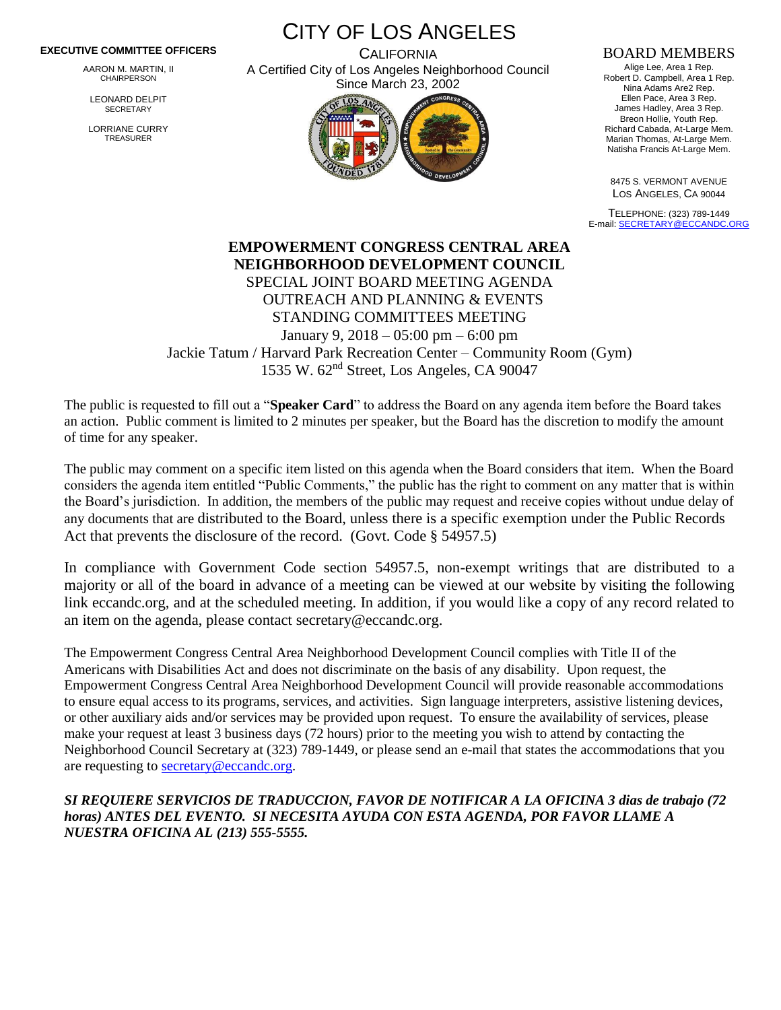## **EXECUTIVE COMMITTEE OFFICERS**

AARON M. MARTIN, II CHAIRPERSON

LEONARD DELPIT **SECRETARY** 

LORRIANE CURRY TREASURER

CITY OF LOS ANGELES

**CALIFORNIA** A Certified City of Los Angeles Neighborhood Council Since March 23, 2002



## BOARD MEMBERS

Alige Lee, Area 1 Rep. Robert D. Campbell, Area 1 Rep. Nina Adams Are2 Rep. Ellen Pace, Area 3 Rep. James Hadley, Area 3 Rep. Breon Hollie, Youth Rep. Richard Cabada, At-Large Mem. Marian Thomas, At-Large Mem. Natisha Francis At-Large Mem.

8475 S. VERMONT AVENUE LOS ANGELES, CA 90044

TELEPHONE: (323) 789-1449 E-mail[: SECRETARY@ECCANDC.ORG](mailto:SECRETARY@ECCANDC.ORG)

**EMPOWERMENT CONGRESS CENTRAL AREA NEIGHBORHOOD DEVELOPMENT COUNCIL** SPECIAL JOINT BOARD MEETING AGENDA OUTREACH AND PLANNING & EVENTS STANDING COMMITTEES MEETING January 9, 2018 – 05:00 pm – 6:00 pm Jackie Tatum / Harvard Park Recreation Center – Community Room (Gym) 1535 W. 62nd Street, Los Angeles, CA 90047

The public is requested to fill out a "**Speaker Card**" to address the Board on any agenda item before the Board takes an action. Public comment is limited to 2 minutes per speaker, but the Board has the discretion to modify the amount of time for any speaker.

The public may comment on a specific item listed on this agenda when the Board considers that item. When the Board considers the agenda item entitled "Public Comments," the public has the right to comment on any matter that is within the Board's jurisdiction. In addition, the members of the public may request and receive copies without undue delay of any documents that are distributed to the Board, unless there is a specific exemption under the Public Records Act that prevents the disclosure of the record. (Govt. Code § 54957.5)

In compliance with Government Code section 54957.5, non-exempt writings that are distributed to a majority or all of the board in advance of a meeting can be viewed at our website by visiting the following link eccandc.org, and at the scheduled meeting. In addition, if you would like a copy of any record related to an item on the agenda, please contact secretary@eccandc.org.

The Empowerment Congress Central Area Neighborhood Development Council complies with Title II of the Americans with Disabilities Act and does not discriminate on the basis of any disability. Upon request, the Empowerment Congress Central Area Neighborhood Development Council will provide reasonable accommodations to ensure equal access to its programs, services, and activities. Sign language interpreters, assistive listening devices, or other auxiliary aids and/or services may be provided upon request. To ensure the availability of services, please make your request at least 3 business days (72 hours) prior to the meeting you wish to attend by contacting the Neighborhood Council Secretary at (323) 789-1449, or please send an e-mail that states the accommodations that you are requesting to [secretary@eccandc.org.](mailto:secretary@eccandc.org)

*SI REQUIERE SERVICIOS DE TRADUCCION, FAVOR DE NOTIFICAR A LA OFICINA 3 dias de trabajo (72 horas) ANTES DEL EVENTO. SI NECESITA AYUDA CON ESTA AGENDA, POR FAVOR LLAME A NUESTRA OFICINA AL (213) 555-5555.*